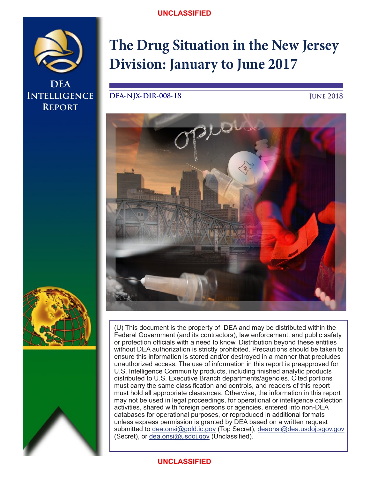## **UNCLASSIFIED**



**DEA DEA Intelligence Intelligence Brief Report**

# **The Drug Situation in the New Jersey Division: January to June 2017**

**DEA-NJX-DIR-008-18**

**June 2018**





(U) This document is the property of DEA and may be distributed within the Federal Government (and its contractors), law enforcement, and public safety or protection officials with a need to know. Distribution beyond these entities without DEA authorization is strictly prohibited. Precautions should be taken to ensure this information is stored and/or destroyed in a manner that precludes unauthorized access. The use of information in this report is preapproved for U.S. Intelligence Community products, including finished analytic products distributed to U.S. Executive Branch departments/agencies. Cited portions must carry the same classification and controls, and readers of this report must hold all appropriate clearances. Otherwise, the information in this report may not be used in legal proceedings, for operational or intelligence collection activities, shared with foreign persons or agencies, entered into non-DEA databases for operational purposes, or reproduced in additional formats unless express permission is granted by DEA based on a written request submitted to dea.onsi@gold.ic.gov (Top Secret), deaonsi@dea.usdoj.sgov.gov (Secret), or dea.onsi@usdoj.gov (Unclassified).

# **UNCLASSIFIED**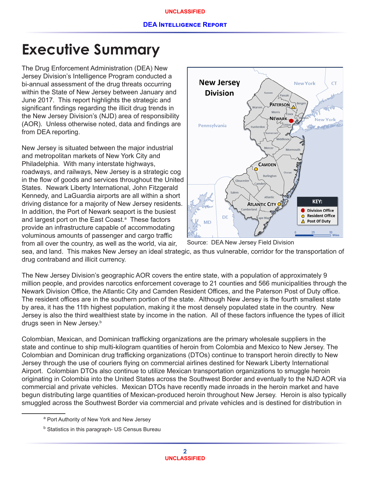# **Executive Summary**

The Drug Enforcement Administration (DEA) New Jersey Division's Intelligence Program conducted a bi-annual assessment of the drug threats occurring within the State of New Jersey between January and June 2017. This report highlights the strategic and significant findings regarding the illicit drug trends in the New Jersey Division's (NJD) area of responsibility (AOR). Unless otherwise noted, data and findings are from DEA reporting.

New Jersey is situated between the major industrial and metropolitan markets of New York City and Philadelphia. With many interstate highways, roadways, and railways, New Jersey is a strategic cog in the flow of goods and services throughout the United States. Newark Liberty International, John Fitzgerald Kennedy, and LaGuardia airports are all within a short driving distance for a majority of New Jersey residents. In addition, the Port of Newark seaport is the busiest and largest port on the East Coast.<sup>a</sup> These factors provide an infrastructure capable of accommodating voluminous amounts of passenger and cargo traffic from all over the country, as well as the world, via air,



sea, and land. This makes New Jersey an ideal strategic, as thus vulnerable, corridor for the transportation of drug contraband and illicit currency. Source: DEA New Jersey Field Division

The New Jersey Division's geographic AOR covers the entire state, with a population of approximately 9 million people, and provides narcotics enforcement coverage to 21 counties and 566 municipalities through the Newark Division Office, the Atlantic City and Camden Resident Offices, and the Paterson Post of Duty office. The resident offices are in the southern portion of the state. Although New Jersey is the fourth smallest state by area, it has the 11th highest population, making it the most densely populated state in the country. New Jersey is also the third wealthiest state by income in the nation. All of these factors influence the types of illicit drugs seen in New Jersey.<sup>b</sup>

Colombian, Mexican, and Dominican trafficking organizations are the primary wholesale suppliers in the state and continue to ship multi-kilogram quantities of heroin from Colombia and Mexico to New Jersey. The Colombian and Dominican drug trafficking organizations (DTOs) continue to transport heroin directly to New Jersey through the use of couriers flying on commercial airlines destined for Newark Liberty International Airport. Colombian DTOs also continue to utilize Mexican transportation organizations to smuggle heroin originating in Colombia into the United States across the Southwest Border and eventually to the NJD AOR via commercial and private vehicles. Mexican DTOs have recently made inroads in the heroin market and have begun distributing large quantities of Mexican-produced heroin throughout New Jersey. Heroin is also typically smuggled across the Southwest Border via commercial and private vehicles and is destined for distribution in

<sup>&</sup>lt;sup>a</sup> Port Authority of New York and New Jersey

 $^{\rm b}$  Statistics in this paragraph- US Census Bureau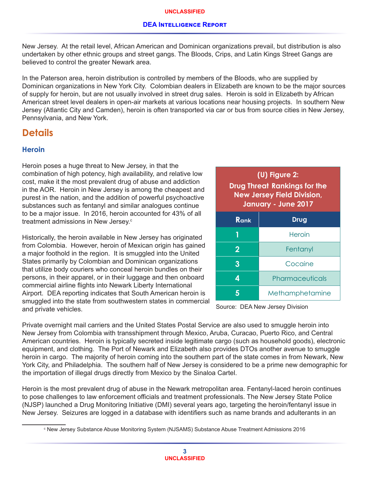New Jersey. At the retail level, African American and Dominican organizations prevail, but distribution is also undertaken by other ethnic groups and street gangs. The Bloods, Crips, and Latin Kings Street Gangs are believed to control the greater Newark area.

In the Paterson area, heroin distribution is controlled by members of the Bloods, who are supplied by Dominican organizations in New York City. Colombian dealers in Elizabeth are known to be the major sources of supply for heroin, but are not usually involved in street drug sales. Heroin is sold in Elizabeth by African American street level dealers in open-air markets at various locations near housing projects. In southern New Jersey (Atlantic City and Camden), heroin is often transported via car or bus from source cities in New Jersey, Pennsylvania, and New York.

# **Details**

# **Heroin**

Heroin poses a huge threat to New Jersey, in that the combination of high potency, high availability, and relative low cost, make it the most prevalent drug of abuse and addiction in the AOR. Heroin in New Jersey is among the cheapest and purest in the nation, and the addition of powerful psychoactive substances such as fentanyl and similar analogues continue to be a major issue. In 2016, heroin accounted for 43% of all treatment admissions in New Jersey.<sup>c</sup>

Historically, the heroin available in New Jersey has originated from Colombia. However, heroin of Mexican origin has gained a major foothold in the region. It is smuggled into the United States primarily by Colombian and Dominican organizations that utilize body couriers who conceal heroin bundles on their persons, in their apparel, or in their luggage and then onboard commercial airline flights into Newark Liberty International Airport. DEA reporting indicates that South American heroin is smuggled into the state from southwestern states in commercial and private vehicles.

| (U) Figure 2:<br><b>Drug Threat Rankings for the</b><br><b>New Jersey Field Division,</b><br>January - June 2017 |                 |  |  |
|------------------------------------------------------------------------------------------------------------------|-----------------|--|--|
| Rank<br>Drug                                                                                                     |                 |  |  |
|                                                                                                                  | Heroin          |  |  |
| $\overline{2}$                                                                                                   | Fentanyl        |  |  |
| 3                                                                                                                | Cocaine         |  |  |
| 4                                                                                                                | Pharmaceuticals |  |  |
| Methamphetamine                                                                                                  |                 |  |  |

Source: DEA New Jersey Division

Private overnight mail carriers and the United States Postal Service are also used to smuggle heroin into New Jersey from Colombia with transshipment through Mexico, Aruba, Curacao, Puerto Rico, and Central American countries. Heroin is typically secreted inside legitimate cargo (such as household goods), electronic equipment, and clothing. The Port of Newark and Elizabeth also provides DTOs another avenue to smuggle heroin in cargo. The majority of heroin coming into the southern part of the state comes in from Newark, New York City, and Philadelphia. The southern half of New Jersey is considered to be a prime new demographic for the importation of illegal drugs directly from Mexico by the Sinaloa Cartel.

Heroin is the most prevalent drug of abuse in the Newark metropolitan area. Fentanyl-laced heroin continues to pose challenges to law enforcement officials and treatment professionals. The New Jersey State Police (NJSP) launched a Drug Monitoring Initiative (DMI) several years ago, targeting the heroin/fentanyl issue in New Jersey. Seizures are logged in a database with identifiers such as name brands and adulterants in an

 $^{\circ}$  New Jersey Substance Abuse Monitoring System (NJSAMS) Substance Abuse Treatment Admissions 2016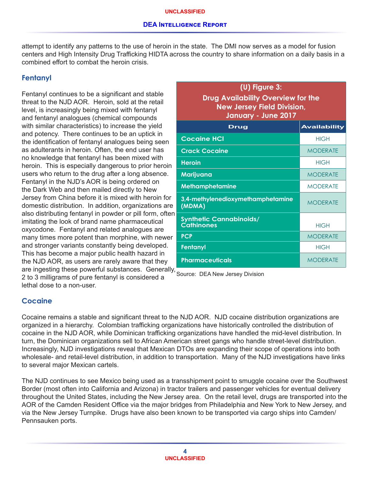attempt to identify any patterns to the use of heroin in the state. The DMI now serves as a model for fusion centers and High Intensity Drug Trafficking HIDTA across the country to share information on a daily basis in a combined effort to combat the heroin crisis.

## **Fentanyl**

Fentanyl continues to be a significant and stable threat to the NJD AOR. Heroin, sold at the retail level, is increasingly being mixed with fentanyl and fentanyl analogues (chemical compounds with similar characteristics) to increase the yield and potency. There continues to be an uptick in the identification of fentanyl analogues being seen as adulterants in heroin. Often, the end user has no knowledge that fentanyl has been mixed with heroin. This is especially dangerous to prior heroin users who return to the drug after a long absence. Fentanyl in the NJD's AOR is being ordered on the Dark Web and then mailed directly to New Jersey from China before it is mixed with heroin for domestic distribution. In addition, organizations are also distributing fentanyl in powder or pill form, often imitating the look of brand name pharmaceutical oxycodone. Fentanyl and related analogues are many times more potent than morphine, with newer and stronger variants constantly being developed. This has become a major public health hazard in the NJD AOR, as users are rarely aware that they are ingesting these powerful substances. Generally, 2 to 3 milligrams of pure fentanyl is considered a lethal dose to a non-user.

| $(U)$ Figure 3:<br><b>Drug Availability Overview for the</b><br><b>New Jersey Field Division,</b><br>January - June 2017 |                 |  |  |
|--------------------------------------------------------------------------------------------------------------------------|-----------------|--|--|
| <b>Availability</b><br>Drug                                                                                              |                 |  |  |
| <b>Cocaine HCI</b>                                                                                                       | <b>HIGH</b>     |  |  |
| <b>Crack Cocaine</b>                                                                                                     | <b>MODERATE</b> |  |  |
| <b>Heroin</b>                                                                                                            | <b>HIGH</b>     |  |  |
| Marijuana                                                                                                                | <b>MODERATE</b> |  |  |
| <b>Methamphetamine</b>                                                                                                   | <b>MODERATE</b> |  |  |
| 3,4-methylenedioxymethamphetamine<br>(MDMA)                                                                              | <b>MODERATE</b> |  |  |
| <b>Synthetic Cannabinoids/</b><br><b>Cathinones</b>                                                                      | <b>HIGH</b>     |  |  |
| <b>PCP</b>                                                                                                               | <b>MODERATE</b> |  |  |
| Fentanyl                                                                                                                 | <b>HIGH</b>     |  |  |
| <b>Pharmaceuticals</b>                                                                                                   | <b>MODERATE</b> |  |  |

Source: DEA New Jersey Division

#### **Cocaine**

Cocaine remains a stable and significant threat to the NJD AOR. NJD cocaine distribution organizations are organized in a hierarchy. Colombian trafficking organizations have historically controlled the distribution of cocaine in the NJD AOR, while Dominican trafficking organizations have handled the mid-level distribution. In turn, the Dominican organizations sell to African American street gangs who handle street-level distribution. Increasingly, NJD investigations reveal that Mexican DTOs are expanding their scope of operations into both wholesale- and retail-level distribution, in addition to transportation. Many of the NJD investigations have links to several major Mexican cartels.

The NJD continues to see Mexico being used as a transshipment point to smuggle cocaine over the Southwest Border (most often into California and Arizona) in tractor trailers and passenger vehicles for eventual delivery throughout the United States, including the New Jersey area. On the retail level, drugs are transported into the AOR of the Camden Resident Office via the major bridges from Philadelphia and New York to New Jersey, and via the New Jersey Turnpike. Drugs have also been known to be transported via cargo ships into Camden/ Pennsauken ports.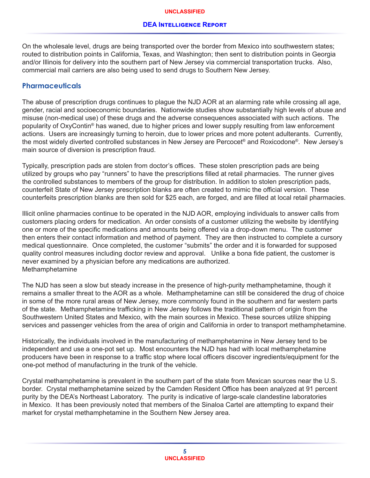On the wholesale level, drugs are being transported over the border from Mexico into southwestern states; routed to distribution points in California, Texas, and Washington; then sent to distribution points in Georgia and/or Illinois for delivery into the southern part of New Jersey via commercial transportation trucks. Also, commercial mail carriers are also being used to send drugs to Southern New Jersey.

## **Pharmaceuticals**

The abuse of prescription drugs continues to plague the NJD AOR at an alarming rate while crossing all age, gender, racial and socioeconomic boundaries. Nationwide studies show substantially high levels of abuse and misuse (non-medical use) of these drugs and the adverse consequences associated with such actions. The popularity of OxyContin® has waned, due to higher prices and lower supply resulting from law enforcement actions. Users are increasingly turning to heroin, due to lower prices and more potent adulterants. Currently, the most widely diverted controlled substances in New Jersey are Percocet® and Roxicodone®. New Jersey's main source of diversion is prescription fraud.

Typically, prescription pads are stolen from doctor's offices. These stolen prescription pads are being utilized by groups who pay "runners" to have the prescriptions filled at retail pharmacies. The runner gives the controlled substances to members of the group for distribution. In addition to stolen prescription pads, counterfeit State of New Jersey prescription blanks are often created to mimic the official version. These counterfeits prescription blanks are then sold for \$25 each, are forged, and are filled at local retail pharmacies.

Illicit online pharmacies continue to be operated in the NJD AOR, employing individuals to answer calls from customers placing orders for medication. An order consists of a customer utilizing the website by identifying one or more of the specific medications and amounts being offered via a drop-down menu. The customer then enters their contact information and method of payment. They are then instructed to complete a cursory medical questionnaire. Once completed, the customer "submits" the order and it is forwarded for supposed quality control measures including doctor review and approval. Unlike a bona fide patient, the customer is never examined by a physician before any medications are authorized. Methamphetamine

The NJD has seen a slow but steady increase in the presence of high-purity methamphetamine, though it remains a smaller threat to the AOR as a whole. Methamphetamine can still be considered the drug of choice in some of the more rural areas of New Jersey, more commonly found in the southern and far western parts of the state. Methamphetamine trafficking in New Jersey follows the traditional pattern of origin from the Southwestern United States and Mexico, with the main sources in Mexico. These sources utilize shipping services and passenger vehicles from the area of origin and California in order to transport methamphetamine.

Historically, the individuals involved in the manufacturing of methamphetamine in New Jersey tend to be independent and use a one-pot set up. Most encounters the NJD has had with local methamphetamine producers have been in response to a traffic stop where local officers discover ingredients/equipment for the one-pot method of manufacturing in the trunk of the vehicle.

Crystal methamphetamine is prevalent in the southern part of the state from Mexican sources near the U.S. border. Crystal methamphetamine seized by the Camden Resident Office has been analyzed at 91 percent purity by the DEA's Northeast Laboratory. The purity is indicative of large-scale clandestine laboratories in Mexico. It has been previously noted that members of the Sinaloa Cartel are attempting to expand their market for crystal methamphetamine in the Southern New Jersey area.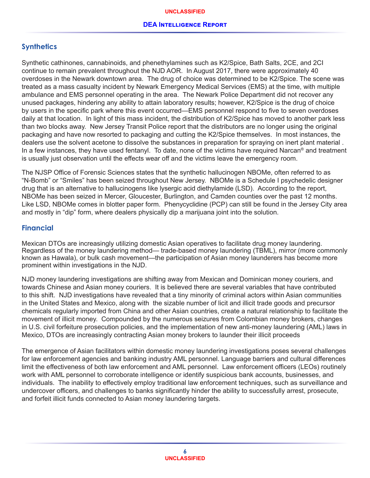## **Synthetics**

Synthetic cathinones, cannabinoids, and phenethylamines such as K2/Spice, Bath Salts, 2CE, and 2CI continue to remain prevalent throughout the NJD AOR. In August 2017, there were approximately 40 overdoses in the Newark downtown area. The drug of choice was determined to be K2/Spice. The scene was treated as a mass casualty incident by Newark Emergency Medical Services (EMS) at the time, with multiple ambulance and EMS personnel operating in the area. The Newark Police Department did not recover any unused packages, hindering any ability to attain laboratory results; however, K2/Spice is the drug of choice by users in the specific park where this event occurred—EMS personnel respond to five to seven overdoses daily at that location. In light of this mass incident, the distribution of K2/Spice has moved to another park less than two blocks away. New Jersey Transit Police report that the distributors are no longer using the original packaging and have now resorted to packaging and cutting the K2/Spice themselves. In most instances, the dealers use the solvent acetone to dissolve the substances in preparation for spraying on inert plant material . In a few instances, they have used fentanyl. To date, none of the victims have required Narcan® and treatment is usually just observation until the effects wear off and the victims leave the emergency room.

The NJSP Office of Forensic Sciences states that the synthetic hallucinogen NBOMe, often referred to as "N-Bomb" or "Smiles" has been seized throughout New Jersey. NBOMe is a Schedule I psychedelic designer drug that is an alternative to hallucinogens like lysergic acid diethylamide (LSD). According to the report, NBOMe has been seized in Mercer, Gloucester, Burlington, and Camden counties over the past 12 months. Like LSD, NBOMe comes in blotter paper form. Phenycyclidine (PCP) can still be found in the Jersey City area and mostly in "dip" form, where dealers physically dip a marijuana joint into the solution.

#### **Financial**

Mexican DTOs are increasingly utilizing domestic Asian operatives to facilitate drug money laundering. Regardless of the money laundering method— trade-based money laundering (TBML), mirror (more commonly known as Hawala), or bulk cash movement—the participation of Asian money launderers has become more prominent within investigations in the NJD.

NJD money laundering investigations are shifting away from Mexican and Dominican money couriers, and towards Chinese and Asian money couriers. It is believed there are several variables that have contributed to this shift. NJD investigations have revealed that a tiny minority of criminal actors within Asian communities in the United States and Mexico, along with the sizable number of licit and illicit trade goods and precursor chemicals regularly imported from China and other Asian countries, create a natural relationship to facilitate the movement of illicit money. Compounded by the numerous seizures from Colombian money brokers, changes in U.S. civil forfeiture prosecution policies, and the implementation of new anti-money laundering (AML) laws in Mexico, DTOs are increasingly contracting Asian money brokers to launder their illicit proceeds

The emergence of Asian facilitators within domestic money laundering investigations poses several challenges for law enforcement agencies and banking industry AML personnel. Language barriers and cultural differences limit the effectiveness of both law enforcement and AML personnel. Law enforcement officers (LEOs) routinely work with AML personnel to corroborate intelligence or identify suspicious bank accounts, businesses, and individuals. The inability to effectively employ traditional law enforcement techniques, such as surveillance and undercover officers, and challenges to banks significantly hinder the ability to successfully arrest, prosecute, and forfeit illicit funds connected to Asian money laundering targets.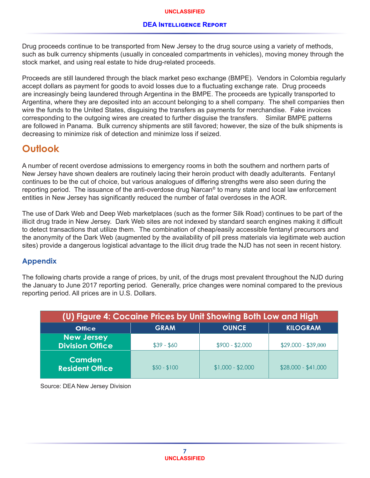#### **DEA Intelligence Report**

Drug proceeds continue to be transported from New Jersey to the drug source using a variety of methods, such as bulk currency shipments (usually in concealed compartments in vehicles), moving money through the stock market, and using real estate to hide drug-related proceeds.

Proceeds are still laundered through the black market peso exchange (BMPE). Vendors in Colombia regularly accept dollars as payment for goods to avoid losses due to a fluctuating exchange rate. Drug proceeds are increasingly being laundered through Argentina in the BMPE. The proceeds are typically transported to Argentina, where they are deposited into an account belonging to a shell company. The shell companies then wire the funds to the United States, disguising the transfers as payments for merchandise. Fake invoices corresponding to the outgoing wires are created to further disguise the transfers. Similar BMPE patterns are followed in Panama. Bulk currency shipments are still favored; however, the size of the bulk shipments is decreasing to minimize risk of detection and minimize loss if seized.

# **Outlook**

A number of recent overdose admissions to emergency rooms in both the southern and northern parts of New Jersey have shown dealers are routinely lacing their heroin product with deadly adulterants. Fentanyl continues to be the cut of choice, but various analogues of differing strengths were also seen during the reporting period. The issuance of the anti-overdose drug Narcan® to many state and local law enforcement entities in New Jersey has significantly reduced the number of fatal overdoses in the AOR.

The use of Dark Web and Deep Web marketplaces (such as the former Silk Road) continues to be part of the illicit drug trade in New Jersey. Dark Web sites are not indexed by standard search engines making it difficult to detect transactions that utilize them. The combination of cheap/easily accessible fentanyl precursors and the anonymity of the Dark Web (augmented by the availability of pill press materials via legitimate web auction sites) provide a dangerous logistical advantage to the illicit drug trade the NJD has not seen in recent history.

#### **Appendix**

The following charts provide a range of prices, by unit, of the drugs most prevalent throughout the NJD during the January to June 2017 reporting period. Generally, price changes were nominal compared to the previous reporting period. All prices are in U.S. Dollars.

| (U) Figure 4: Cocaine Prices by Unit Showing Both Low and High |              |                   |                     |  |
|----------------------------------------------------------------|--------------|-------------------|---------------------|--|
| <b>Office</b>                                                  | <b>GRAM</b>  | <b>OUNCE</b>      | <b>KILOGRAM</b>     |  |
| <b>New Jersey</b><br><b>Division Office</b>                    | $$39 - $60$  | $$900 - $2,000$   | $$29,000 - $39,000$ |  |
| <b>Camden</b><br><b>Resident Office</b>                        | $$50 - $100$ | $$1,000 - $2,000$ | $$28,000 - $41,000$ |  |

Source: DEA New Jersey Division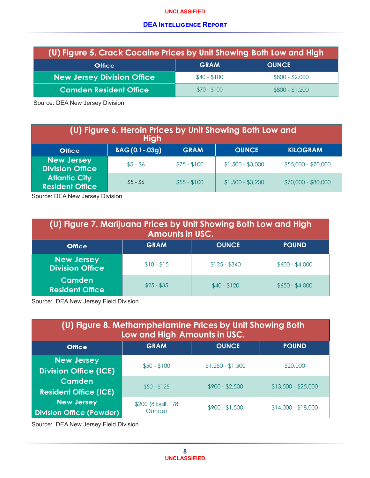#### **UNCLASSIFIED**

#### **DEA Intelligence Report**

| (U) Figure 5. Crack Cocaine Prices by Unit Showing Both Low and High |              |                 |  |  |
|----------------------------------------------------------------------|--------------|-----------------|--|--|
| <b>Office</b>                                                        | <b>GRAM</b>  | <b>OUNCE</b>    |  |  |
| <b>New Jersey Division Office</b>                                    | $$40 - $100$ | $$800 - $2,000$ |  |  |
| <b>Camden Resident Office</b>                                        | $$70 - $100$ | $$800 - $1,200$ |  |  |

Source: DEA New Jersey Division

| (U) Figure 6. Heroin Prices by Unit Showing Both Low and<br><b>High</b> |                 |              |                   |                     |
|-------------------------------------------------------------------------|-----------------|--------------|-------------------|---------------------|
| <b>Office</b>                                                           | $BAG(0.1-.03g)$ | <b>GRAM</b>  | <b>OUNCE</b>      | <b>KILOGRAM</b>     |
| <b>New Jersey</b><br><b>Division Office</b>                             | $$5 - $6$       | $$75 - $100$ | $$1,500 - $3,000$ | \$55,000 - \$70,000 |
| <b>Atlantic City</b><br><b>Resident Office</b>                          | $$5 - $6$       | $$55 - $100$ | $$1,500 - $3,200$ | $$70,000 - $80,000$ |

Source: DEA New Jersey Division

| (U) Figure 7. Marijuana Prices by Unit Showing Both Low and High<br><b>Amounts in USC.</b> |                                             |               |                 |  |  |
|--------------------------------------------------------------------------------------------|---------------------------------------------|---------------|-----------------|--|--|
| <b>Office</b>                                                                              | <b>OUNCE</b><br><b>GRAM</b><br><b>POUND</b> |               |                 |  |  |
| <b>New Jersey</b><br><b>Division Office</b>                                                | $$10 - $15$                                 | $$125 - $340$ | $$600 - $4,000$ |  |  |
| <b>Camden</b><br><b>Resident Office</b>                                                    | $$25 - $35$                                 | $$40 - $120$  | $$650 - $4,000$ |  |  |

Source: DEA New Jersey Field Division

| (U) Figure 8. Methamphetamine Prices by Unit Showing Both<br>Low and High Amounts in USC. |                                             |                   |                     |  |  |
|-------------------------------------------------------------------------------------------|---------------------------------------------|-------------------|---------------------|--|--|
| <b>Office</b>                                                                             | <b>OUNCE</b><br><b>POUND</b><br><b>GRAM</b> |                   |                     |  |  |
| <b>New Jersey</b><br><b>Division Office (ICE)</b>                                         | $$50 - $100$                                | $$1,250 - $1,500$ | \$20,000            |  |  |
| Camden<br><b>Resident Office (ICE)</b>                                                    | $$50 - $125$                                | $$900 - $2,500$   | $$13,500 - $25,000$ |  |  |
| <b>New Jersey</b><br><b>Division Office (Powder)</b>                                      | \$200 (8 ball: 1/8<br>Ounce)                | $$900 - $1,500$   | $$14,000 - $18,000$ |  |  |

Source: DEA New Jersey Field Division